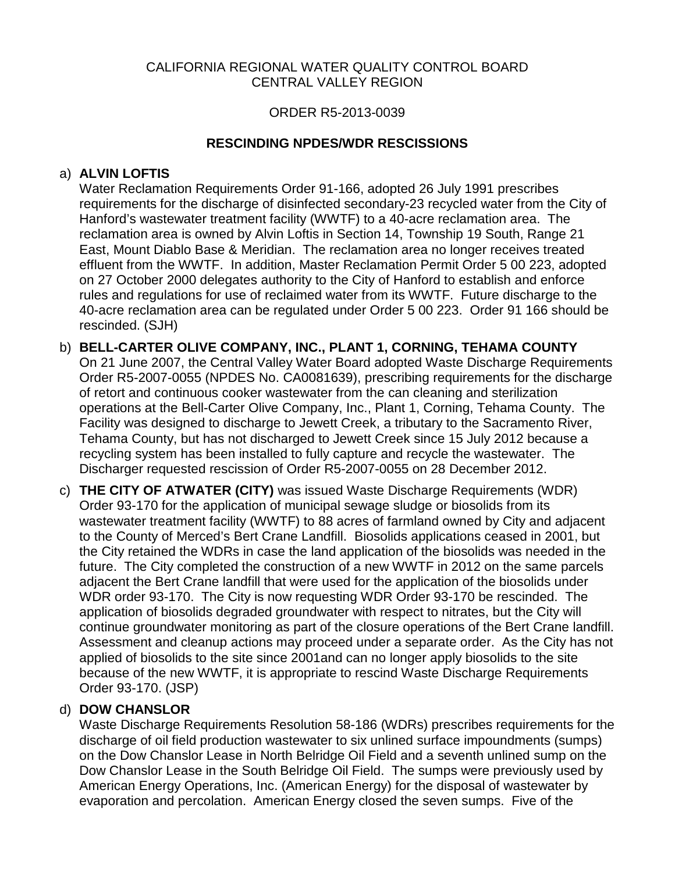#### CALIFORNIA REGIONAL WATER QUALITY CONTROL BOARD CENTRAL VALLEY REGION

#### ORDER R5-2013-0039

### **RESCINDING NPDES/WDR RESCISSIONS**

#### a) **ALVIN LOFTIS**

 East, Mount Diablo Base & Meridian. The reclamation area no longer receives treated effluent from the WWTF. In addition, Master Reclamation Permit Order 5 00 223, adopted Water Reclamation Requirements Order 91-166, adopted 26 July 1991 prescribes requirements for the discharge of disinfected secondary-23 recycled water from the City of Hanford's wastewater treatment facility (WWTF) to a 40-acre reclamation area. The reclamation area is owned by Alvin Loftis in Section 14, Township 19 South, Range 21 on 27 October 2000 delegates authority to the City of Hanford to establish and enforce rules and regulations for use of reclaimed water from its WWTF. Future discharge to the 40-acre reclamation area can be regulated under Order 5 00 223. Order 91 166 should be rescinded. (SJH)

- operations at the Bell-Carter Olive Company, Inc., Plant 1, Corning, Tehama County. The b) **BELL-CARTER OLIVE COMPANY, INC., PLANT 1, CORNING, TEHAMA COUNTY**  On 21 June 2007, the Central Valley Water Board adopted Waste Discharge Requirements Order R5-2007-0055 (NPDES No. CA0081639), prescribing requirements for the discharge of retort and continuous cooker wastewater from the can cleaning and sterilization Facility was designed to discharge to Jewett Creek, a tributary to the Sacramento River, Tehama County, but has not discharged to Jewett Creek since 15 July 2012 because a recycling system has been installed to fully capture and recycle the wastewater. The Discharger requested rescission of Order R5-2007-0055 on 28 December 2012.
- future. The City completed the construction of a new WWTF in 2012 on the same parcels WDR order 93-170. The City is now requesting WDR Order 93-170 be rescinded. The continue groundwater monitoring as part of the closure operations of the Bert Crane landfill. c) **THE CITY OF ATWATER (CITY)** was issued Waste Discharge Requirements (WDR) Order 93-170 for the application of municipal sewage sludge or biosolids from its wastewater treatment facility (WWTF) to 88 acres of farmland owned by City and adjacent to the County of Merced's Bert Crane Landfill. Biosolids applications ceased in 2001, but the City retained the WDRs in case the land application of the biosolids was needed in the adjacent the Bert Crane landfill that were used for the application of the biosolids under application of biosolids degraded groundwater with respect to nitrates, but the City will Assessment and cleanup actions may proceed under a separate order. As the City has not applied of biosolids to the site since 2001and can no longer apply biosolids to the site because of the new WWTF, it is appropriate to rescind Waste Discharge Requirements Order 93-170. (JSP)

# d) **DOW CHANSLOR**

 Dow Chanslor Lease in the South Belridge Oil Field. The sumps were previously used by Waste Discharge Requirements Resolution 58-186 (WDRs) prescribes requirements for the discharge of oil field production wastewater to six unlined surface impoundments (sumps) on the Dow Chanslor Lease in North Belridge Oil Field and a seventh unlined sump on the American Energy Operations, Inc. (American Energy) for the disposal of wastewater by evaporation and percolation. American Energy closed the seven sumps. Five of the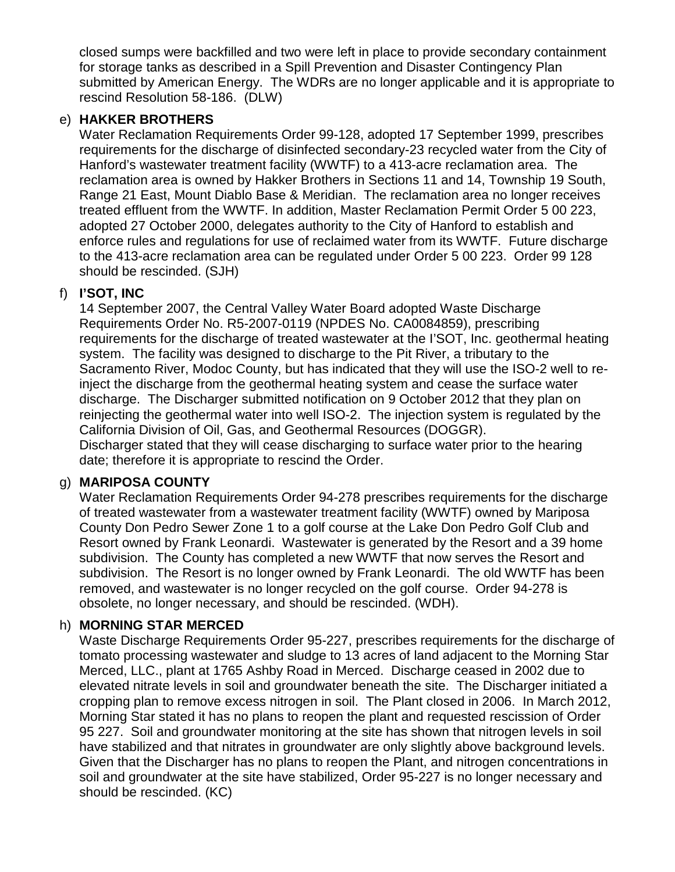closed sumps were backfilled and two were left in place to provide secondary containment for storage tanks as described in a Spill Prevention and Disaster Contingency Plan submitted by American Energy. The WDRs are no longer applicable and it is appropriate to rescind Resolution 58-186. (DLW)

#### e) **HAKKER BROTHERS**

 Range 21 East, Mount Diablo Base & Meridian. The reclamation area no longer receives Water Reclamation Requirements Order 99-128, adopted 17 September 1999, prescribes requirements for the discharge of disinfected secondary-23 recycled water from the City of Hanford's wastewater treatment facility (WWTF) to a 413-acre reclamation area. The reclamation area is owned by Hakker Brothers in Sections 11 and 14, Township 19 South, treated effluent from the WWTF. In addition, Master Reclamation Permit Order 5 00 223, adopted 27 October 2000, delegates authority to the City of Hanford to establish and enforce rules and regulations for use of reclaimed water from its WWTF. Future discharge to the 413-acre reclamation area can be regulated under Order 5 00 223. Order 99 128 should be rescinded. (SJH)

### f) **I'SOT, INC**

 system. The facility was designed to discharge to the Pit River, a tributary to the discharge. The Discharger submitted notification on 9 October 2012 that they plan on reinjecting the geothermal water into well ISO-2. The injection system is regulated by the California Division of Oil, Gas, and Geothermal Resources (DOGGR). 14 September 2007, the Central Valley Water Board adopted Waste Discharge Requirements Order No. R5-2007-0119 (NPDES No. CA0084859), prescribing requirements for the discharge of treated wastewater at the I'SOT, Inc. geothermal heating Sacramento River, Modoc County, but has indicated that they will use the ISO-2 well to reinject the discharge from the geothermal heating system and cease the surface water

Discharger stated that they will cease discharging to surface water prior to the hearing date; therefore it is appropriate to rescind the Order.

### g) **MARIPOSA COUNTY**

 Resort owned by Frank Leonardi. Wastewater is generated by the Resort and a 39 home subdivision. The County has completed a new WWTF that now serves the Resort and subdivision. The Resort is no longer owned by Frank Leonardi. The old WWTF has been removed, and wastewater is no longer recycled on the golf course. Order 94-278 is Water Reclamation Requirements Order 94-278 prescribes requirements for the discharge of treated wastewater from a wastewater treatment facility (WWTF) owned by Mariposa County Don Pedro Sewer Zone 1 to a golf course at the Lake Don Pedro Golf Club and obsolete, no longer necessary, and should be rescinded. (WDH).

### h) **MORNING STAR MERCED**

 elevated nitrate levels in soil and groundwater beneath the site. The Discharger initiated a have stabilized and that nitrates in groundwater are only slightly above background levels. Waste Discharge Requirements Order 95-227, prescribes requirements for the discharge of tomato processing wastewater and sludge to 13 acres of land adjacent to the Morning Star Merced, LLC., plant at 1765 Ashby Road in Merced. Discharge ceased in 2002 due to cropping plan to remove excess nitrogen in soil. The Plant closed in 2006. In March 2012, Morning Star stated it has no plans to reopen the plant and requested rescission of Order 95 227. Soil and groundwater monitoring at the site has shown that nitrogen levels in soil Given that the Discharger has no plans to reopen the Plant, and nitrogen concentrations in soil and groundwater at the site have stabilized, Order 95-227 is no longer necessary and should be rescinded. (KC)